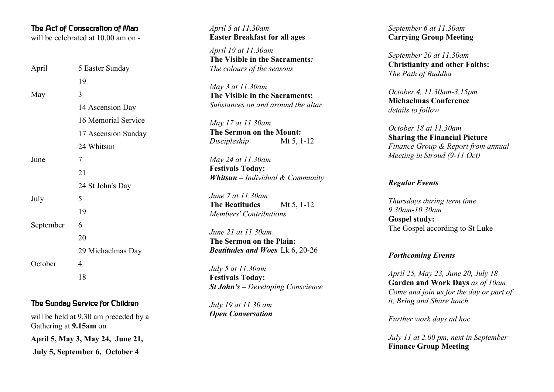### The Act of Consecration of Man

will be celebrated at 10.00 am on:-

| April     | 5 Easter Sunday     |
|-----------|---------------------|
|           | 19                  |
| May       | 3                   |
|           | 14 Ascension Day    |
|           | 16 Memorial Service |
|           | 17 Ascension Sunday |
|           | 24 Whitsun          |
| June      | 7                   |
|           | 21                  |
|           | 24 St John's Day    |
| July      | 5                   |
|           | 19                  |
| September | 6                   |
|           | 20                  |
|           | 29 Michaelmas Day   |
| October   | 4                   |
|           | 18                  |
|           |                     |

# The Sunday Service for Children

will be held at 9.30 am preceded by a Gathering at **9.15am** on

**April 5, May 3, May 24, June 21,** 

 **July 5, September 6, October 4**

*April 5 at 11.30am* **Easter Breakfast for all ages**

*April 19 at 11.30am* **The Visible in the Sacraments** *: The colours of the seasons*

*May 3 at 11.30am* **The Visible in the Sacraments:** *Substances on and around the altar* 

*May 17 at 11.30am* **The Sermon on the Mount:** *Discipleship* Mt 5, 1-12

*May 24 at 11.30am* **Festivals Today:** *Whitsun – Individual & Community*

*June 7 at 11.30am* **The Beatitudes** Mt 5, 1-12 *Members' Contributions*

*June 21 at 11.30am* **The Sermon on the Plain:** *Beatitudes and Woes* Lk 6, 20-26

*July 5 at 11.30am* **Festivals Today:** *St John's – Developing Conscience*

*July 19 at 11.30 am Open Conversation* *September 6 at 11.30am* **Carrying Group Meeting**

*September 20 at 11.30am* **Christianity and other Faiths:** *The Path of Buddha*

*October 4, 11.30am-3.15pm* **Michaelmas Conference** *details to follow*

*October 18 at 11.30am* **Sharing the Financial Picture** *Finance Group & Report from annual Meeting in Stroud (9-11 Oct)*

#### *Regular Events*

*Thursdays during term time 9.30am-10.30am* **Gospel study:** The Gospel according to St Luke

#### *Forthcoming Events*

*April 25, May 23, June 20, July 18*  **Garden and Work Days** *as of 10am Come and join us for the day or part of it, Bring and Share lunch*

*Further work days ad hoc*

*July 11 at 2.00 pm, next in September* **Finance Group Meeting**